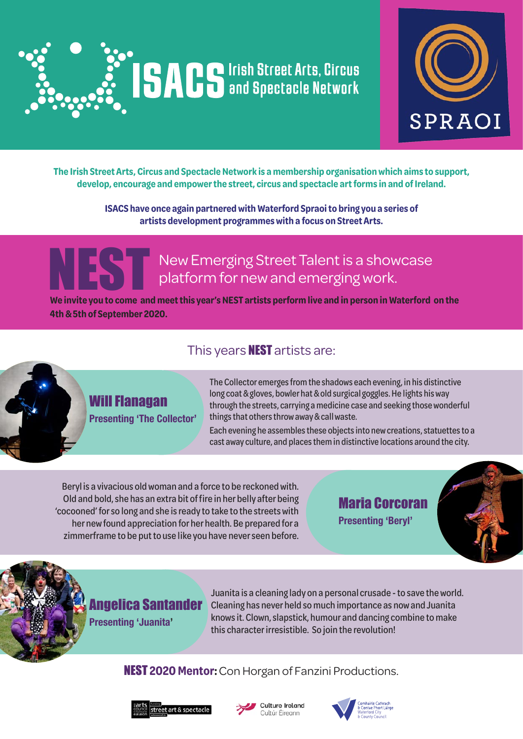



**The Irish Street Arts, Circus and Spectacle Network is a membership organisation which aims to support, develop, encourage and empower the street, circus and spectacle art forms in and of Ireland.**

> **ISACS have once again partnered with Waterford Spraoi to bring you a series of artists development programmes with a focus on Street Arts.**

# NEST New Emerging Street Talent is a showcase platform for new and emerging work.

**We invite you to come and meet this year's NEST artists perform live and in person in Waterford on the 4th & 5th of September 2020.**

### This years **NEST** artists are:



### Will Flanagan **Presenting 'The Collector'**

The Collector emerges from the shadows each evening, in his distinctive long coat & gloves, bowler hat & old surgical goggles. He lights his way through the streets, carrying a medicine case and seeking those wonderful things that others throw away & call waste.

Each evening he assembles these objects into new creations, statuettes to a cast away culture, and places them in distinctive locations around the city.

Beryl is a vivacious old woman and a force to be reckoned with. Old and bold, she has an extra bit of fire in her belly after being 'cocooned' for so long and she is ready to take to the streets with her new found appreciation for her health. Be prepared for a zimmerframe to be put to use like you have never seen before.

Maria Corcoran **Presenting 'Beryl'**



# Angelica Santander

**Presenting 'Juanita'**

Juanita is a cleaning lady on a personal crusade - to save the world. Cleaning has never held so much importance as now and Juanita knows it. Clown, slapstick, humour and dancing combine to make this character irresistible. So join the revolution!

NEST **2020 Mentor:**Con Horgan of Fanzini Productions.





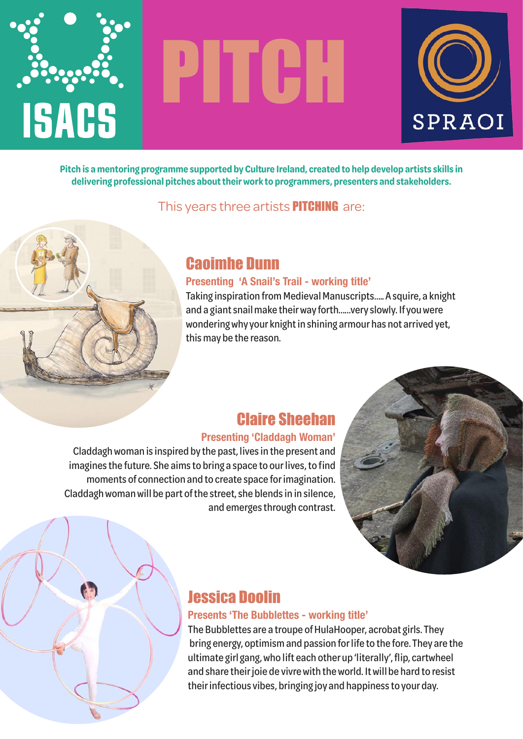

# PITCH



**Pitch is a mentoring programme supported by Culture Ireland, created to help develop artists skills in delivering professional pitches about their work to programmers, presenters and stakeholders.**

This years three artists **PITCHING** are:



# Caoimhe Dunn

#### **Presenting 'A Snail's Trail - working title'**

Taking inspiration from Medieval Manuscripts….. A squire, a knight and a giant snail make their way forth……very slowly. If you were wondering why your knight in shining armour has not arrived yet, this may be the reason.

# Claire Sheehan

#### **Presenting 'Claddagh Woman'**

Claddagh woman is inspired by the past, lives in the present and imagines the future. She aims to bring a space to our lives, to find moments of connection and to create space for imagination. Claddagh woman will be part of the street, she blends in in silence, and emerges through contrast.



# Jessica Doolin

#### **Presents 'The Bubblettes - working title'**

The Bubblettes are a troupe of HulaHooper, acrobat girls. They bring energy, optimism and passion for life to the fore. They are the ultimate girl gang, who lift each other up 'literally', flip, cartwheel and share their joie de vivre with the world. It will be hard to resist their infectious vibes, bringing joy and happiness to your day.